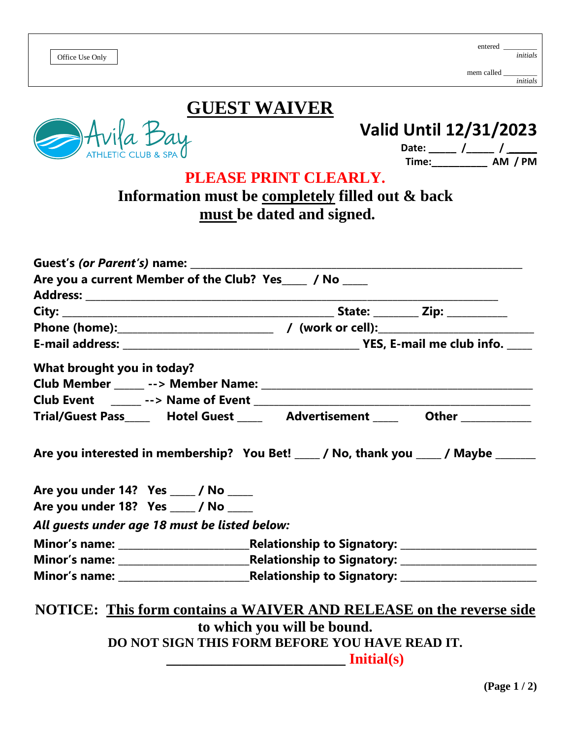|--|

## **GUEST WAIVER**

Bay

## **Valid Until 12/31/2023**

 **Date: \_\_\_\_\_ /\_\_\_\_\_ / \_\_\_\_\_ Time:\_\_\_\_\_\_\_\_\_\_ AM / PM**

| PLEASE PRINT CLEARLY. |  |
|-----------------------|--|
|-----------------------|--|

## **Information must be completely filled out & back must be dated and signed.**

| Are you a current Member of the Club? Yes____ / No ____                          |                                                                                                                                                                                                                                                                                                                                                                                                                       |  |
|----------------------------------------------------------------------------------|-----------------------------------------------------------------------------------------------------------------------------------------------------------------------------------------------------------------------------------------------------------------------------------------------------------------------------------------------------------------------------------------------------------------------|--|
|                                                                                  |                                                                                                                                                                                                                                                                                                                                                                                                                       |  |
|                                                                                  |                                                                                                                                                                                                                                                                                                                                                                                                                       |  |
|                                                                                  |                                                                                                                                                                                                                                                                                                                                                                                                                       |  |
|                                                                                  |                                                                                                                                                                                                                                                                                                                                                                                                                       |  |
| What brought you in today?                                                       |                                                                                                                                                                                                                                                                                                                                                                                                                       |  |
|                                                                                  |                                                                                                                                                                                                                                                                                                                                                                                                                       |  |
|                                                                                  |                                                                                                                                                                                                                                                                                                                                                                                                                       |  |
| Trial/Guest Pass______ Hotel Guest ______ Advertisement _____ Other ____________ |                                                                                                                                                                                                                                                                                                                                                                                                                       |  |
| Are you under 14? Yes ____ / No ____<br>Are you under 18? Yes ____ / No ____     |                                                                                                                                                                                                                                                                                                                                                                                                                       |  |
| All guests under age 18 must be listed below:                                    |                                                                                                                                                                                                                                                                                                                                                                                                                       |  |
|                                                                                  |                                                                                                                                                                                                                                                                                                                                                                                                                       |  |
|                                                                                  |                                                                                                                                                                                                                                                                                                                                                                                                                       |  |
|                                                                                  |                                                                                                                                                                                                                                                                                                                                                                                                                       |  |
| NOTICE: This form contains a WAIVER AND RELEASE on the reverse side              |                                                                                                                                                                                                                                                                                                                                                                                                                       |  |
|                                                                                  | to which you will be bound.<br>DO NOT SIGN THIS FORM BEFORE YOU HAVE READ IT.                                                                                                                                                                                                                                                                                                                                         |  |
|                                                                                  |                                                                                                                                                                                                                                                                                                                                                                                                                       |  |
|                                                                                  | $\frac{1}{\sqrt{1-\frac{1}{1-\frac{1}{1-\frac{1}{1-\frac{1}{1-\frac{1}{1-\frac{1}{1-\frac{1}{1-\frac{1}{1-\frac{1}{1-\frac{1}{1-\frac{1}{1-\frac{1}{1-\frac{1}{1-\frac{1}{1-\frac{1}{1-\frac{1}{1-\frac{1}{1-\frac{1}{1-\frac{1}{1-\frac{1}{1-\frac{1}{1-\frac{1}{1-\frac{1}{1-\frac{1}{1-\frac{1}{1-\frac{1}{1-\frac{1}{1-\frac{1}{1-\frac{1}{1-\frac{1}{1-\frac{1}{1-\frac{1}{1-\frac{1}{1-\frac{1}{1-\frac{1}{1-\$ |  |